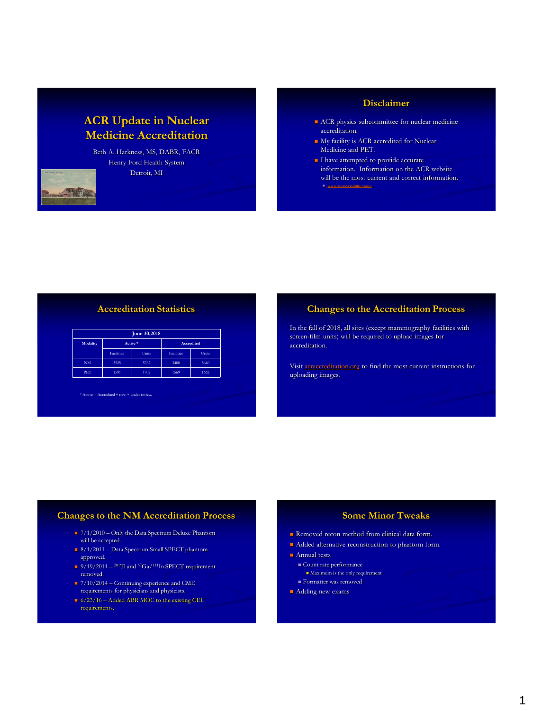# **ACR Update in Nuclear Medicine Accreditation**

Beth A. Harkness, MS, DABR, FACR Henry Ford Health System Detroit, MI

#### **Disclaimer**

- ACR physics subcommittee for nuclear medicine accreditation.
- My facility is ACR accredited for Nuclear Medicine and PET.
- I have attempted to provide accurate information. Information on the ACR website will be the most current and correct information. **[www.acraccreditation.org](https://www.acraccreditation.org/-/media/ACRAccreditation/Documents/NucMed-PET/Nuclear-Medicine-Requirements.pdf?la=en)**

### **Accreditation Statistics**

| June 30,2018 |                   |       |                   |       |  |  |
|--------------|-------------------|-------|-------------------|-------|--|--|
| Modality     | Active *          |       | <b>Accredited</b> |       |  |  |
|              | <b>Facilities</b> | Units | <b>Facilities</b> | Units |  |  |
| <b>NM</b>    | 3525              | 5762  | 3488              | 5640  |  |  |
| PET          | 1591              | 1702  | 1569              | 1662  |  |  |

 $*$  Active  $=$  Accredited  $+$  new  $+$  under review.

#### **Changes to the Accreditation Process**

In the fall of 2018, all sites (except mammography facilities with screen-film units) will be required to upload images for accreditation.

Visit [acraccreditation.org](https://www.acraccreditation.org/favicon.ico) to find the most current instructions for uploading images.

#### **Changes to the NM Accreditation Process**

- $\sqrt{7/1/2010}$  Only the Data Spectrum Deluxe Phantom will be accepted.
- 8/1/2011 Data Spectrum Small SPECT phantom approved.
- $\approx 9/19/2011 {}^{201}Tl$  and  ${}^{67}Ga/{}^{111}In$  SPECT requirement removed.
- $7/10/2014$  Continuing experience and CME requirements for physicians and physicists.
- $\approx$  6/23/16 Added ABR MOC to the existing CEU requirements.

# **Some Minor Tweaks**

- Removed recon method from clinical data form.
- Added alternative reconstruction to phantom form.
- **Annual tests** 
	- $\blacksquare$  <br> Count rate performance
	- Maximum is the only requirement
	- Formatter was removed
- **Adding new exams**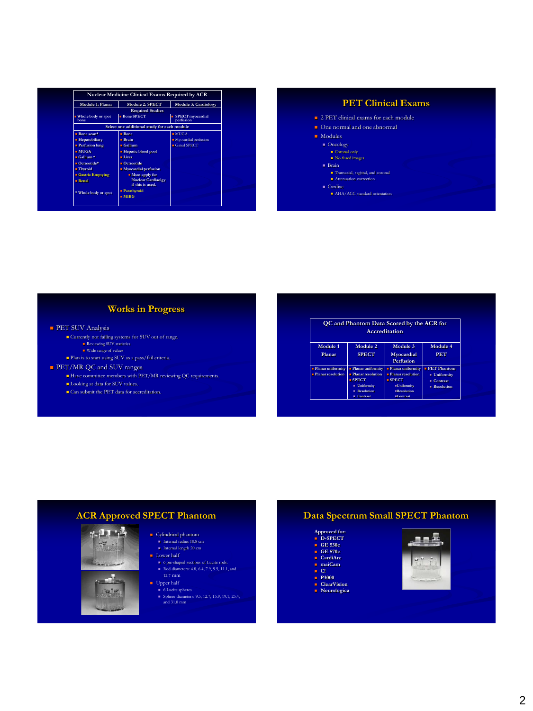| hone                                                         | <b>Required Studies</b><br><b>Bone SPECT</b><br>Select one additional study for each module<br>Bone<br>Brain | <b>SPECT</b> myocardial<br>perfusion<br>$= MUGA$ |
|--------------------------------------------------------------|--------------------------------------------------------------------------------------------------------------|--------------------------------------------------|
| Whole body or spot<br>$Bone scan*$<br><b>E</b> Hepatobiliary |                                                                                                              |                                                  |
|                                                              |                                                                                                              |                                                  |
|                                                              |                                                                                                              |                                                  |
|                                                              |                                                                                                              |                                                  |
|                                                              |                                                                                                              | • Myocardial perfusion                           |
| <b>Perfusion lung</b>                                        | $\blacksquare$ Gallium                                                                                       | Gated SPECT                                      |
| $-MHGA$                                                      | <b>Exercise Exercise Helped</b>                                                                              |                                                  |
| $\equiv$ Gallium *                                           | = Liver                                                                                                      |                                                  |
| $\blacksquare$ Octreotide*                                   | $\blacksquare$ Octreotide                                                                                    |                                                  |
| = Thyroid                                                    | • Myocardial perfusion                                                                                       |                                                  |
| <b>■ Gastric Emptying</b>                                    | - Must apply for                                                                                             |                                                  |
| $n$ Renal                                                    | <b>Nuclear Cardiaolgy</b>                                                                                    |                                                  |
|                                                              | if this is used.                                                                                             |                                                  |
| * Whole body or spot                                         | Parathvroid<br>$= MIBG$                                                                                      |                                                  |

# **PET Clinical Exams**

#### <sup>2</sup> PET clinical exams for each module

**One** normal and one abnormal

#### ■ Modules

- Oncology Coronal only No fused images
- 
- $Brain$
- **Attenuation** correction
- $\blacksquare$  Cardiac
	- AHA/ACC standard orientation

# **Works in Progress**

#### **PET SUV Analysis**

- Currently not failing systems for SUV out of range.<br>■ Reviewing SUV statistics<br>■ Wide range of values
- 
- Plan is to start using SUV as a pass/fail criteria.
- **PET/MR QC and SUV ranges** 
	-
	- Have committee members with PET/MR reviewing QC requirements. Looking at data for SUV values.
	- Can submit the PET data for accreditation.

| QC and Phantom Data Scored by the ACR for<br>Accreditation |                                                                                                                                       |                                                                                                                     |                                                                                      |  |  |  |
|------------------------------------------------------------|---------------------------------------------------------------------------------------------------------------------------------------|---------------------------------------------------------------------------------------------------------------------|--------------------------------------------------------------------------------------|--|--|--|
| Module 1<br>Planar                                         | Module 2<br><b>SPECT</b>                                                                                                              | Module 3<br>Myocardial<br>Perfusion                                                                                 | Module 4<br><b>PET</b>                                                               |  |  |  |
| <b>Planar uniformity</b><br><b>Planar resolution</b>       | <b>Planar uniformity</b><br><b>Planar resolution</b><br>SPECT<br>$\blacksquare$ Uniformity<br><b>Resolution</b><br>٠<br>Contrast<br>٠ | <b>Planar uniformity</b><br><b>Planar resolution</b><br>SPECT<br><b>Uniformity</b><br>$R$ esolution<br>$=$ Contrast | <b>PET Phantom</b><br><b>Uniformity</b><br><b>Contrast</b><br><b>Resolution</b><br>٠ |  |  |  |

### **ACR Approved SPECT Phantom**





 $\blacksquare$  Lower half ■ 6 pie-shaped sections of Lucite rods.<br>■ Rod diameters: 4.8, 6.4, 7.9, 9.5, 11.1, and 12.7 mm

 $\blacksquare$  <br> Cylindrical phantom Internal radius 10.8 cm Internal length 20 cm

- 
- 
- Upper half 6 Lucite spheres Sphere diameters: 9.5, 12.7, 15.9, 19.1, 25.4, and 31.8 mm

# **Data Spectrum Small SPECT Phantom**

# **Approved for: D-SPECT GE 530c GE 570c**

- 
- 
- 
- 
- 
- **CardiArc maiCam C! P3000 ClearVision**
- **Neurologica**

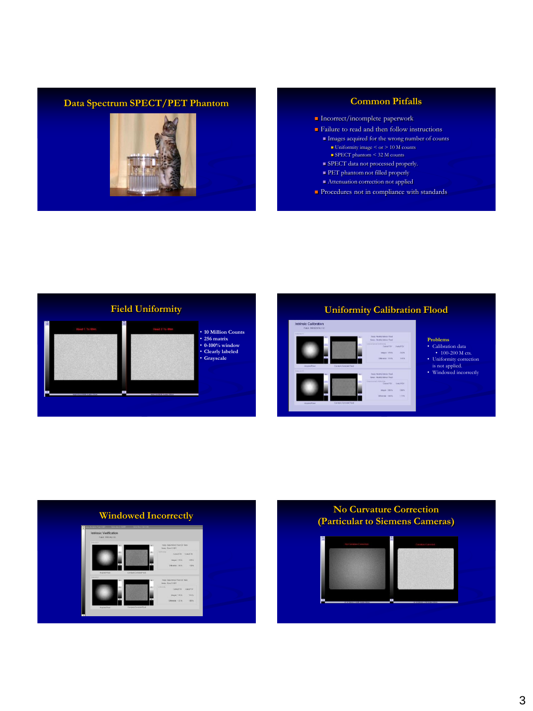# **Data Spectrum SPECT/PET Phantom Common Pitfalls**



- **Incorrect/incomplete paperwork**
- **Failure to read and then follow instructions** 
	- Images acquired for the wrong number of counts ■ Uniformity image < or > 10 M counts<br>■ SPECT phantom < 32 M counts
	- SPECT data not processed properly.
	- **PET** phantom not filled properly
	- Attenuation correction not applied
- Procedures not in compliance with standards







# • Calibration data • 100-200 M cts.

- 
- 
- Uniformity correction is not applied. Windowed incorrectly



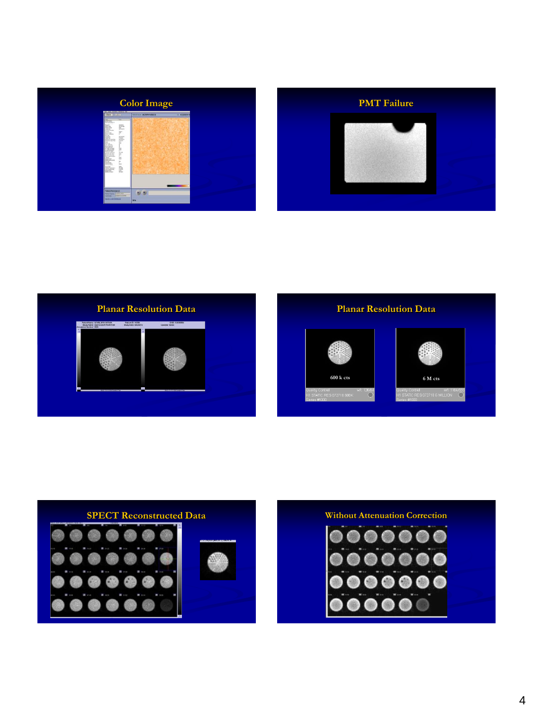



钄 **600 k cts 6 M cts**  $\overline{O}^{\circ}$ ontrol WIL 1184/593<br>C RES 072718 6 MILLION ( O